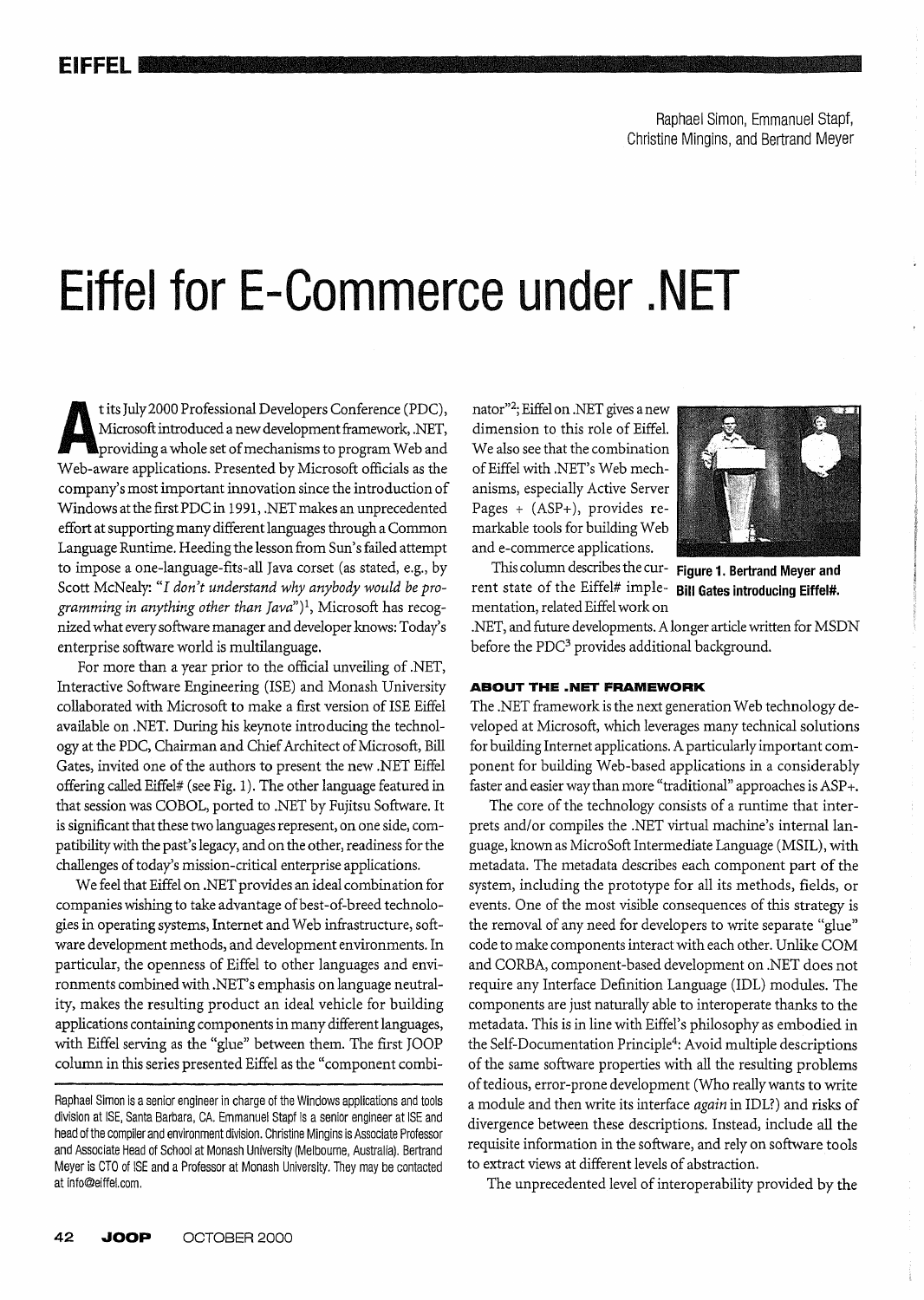Raphael Simon, Emmanuel Stapf, Christine Mingins, and Bertrand Meyer

# **Eiffel for E-Commerce under .NET**

t its July 2000 Professional Developers Conference (PDC),<br>Microsoft introduced a new development framework, .NET,<br>providing a whole set of mechanisms to program Web and<br>Web-aware applications. Presented by Microsoft offici Microsoft introduced a new development framework, .NET, providing a whole set of mechanisms to program Web and Web-aware applications. Presented by Microsoft officials as the company's most important innovation since the introduction of Windows at the firstPDC in 1991, .NET makes an unprecedented effort at supporting many different languages through a Common Language Runtime. Heeding the lesson from Sun's failed attempt to impose a one-Ianguage-fits-all Java corset (as stated, e.g., by Scott McNealy: "1 *don't understand why anybody would be programming in anything other than Java")* 1, Microsoft has recognized what every software manager and developer knows: Today's enterprise software world is multilanguage.

For more than a year prior to the official unveiling of .NET, Interactive Software Engineering (ISE) and Monash University collaborated with Microsoft to make a first version of ISE Eiffel available on .NET. During his keynote introducing the technology at the PDC, Chairman and Chief Architect of Microsoft, Bill Gates, invited one of the authors to present the new .NET Eiffel offering called Eiffel# (see Fig. 1). The other language featured in that session was COBOL, ported to .NET by Fujitsu Software. It is significant that these two languages represent, on one side, compatibilitywith the past's legacy, and on the other, readiness for the challenges of today's mission-critical enterprise applications.

We feel that Eiffel on .NET provides an ideal combination for companies wishing to take advantage of best-of-breed technologies in operating systems, Internet and Web infrastructure, software development methods, and development environments. In particular, the openness of Eiffel to other languages and environments combined with .NET's emphasis on language neutrality, makes the resulting product an ideal vehicle for building applications containing components in many different languages, with Eiffel serving as the "glue" between them. The first JOOP column in this series presented Eiffel as the "component combinator"2; Eiffel on .NET gives a new dimension to this role of EiffeL We also *see* that the combination of Eiffel with .NET's Web mechanisms, especially Active Server Pages + (ASP+), provides remarkable tools for building Web and e-commerce applications.



This column describes the cur- **Figure 1. Bertrand Meyer and**  rent state of the Eiffel# imple- **Bill Gates introducing Eiffel#.** 

mentation, related Eiffel work on .NET, and future developments. A longer article written for MSDN before the PDC<sup>3</sup> provides additional background.

## **ABOUTTHE.NETFRAMEWORK**

The .NET framework is the next generation Web technology developed at Microsoft, which leverages many technical solutions for building Internet applications. A particularly important component for building Web-based applications in a considerably faster and easier way than more "traditional" approaches is ASP +.

The core of the technology consists of a runtime that interprets and/or compiles the .NET virtual machine's internal language, known as MicroSoft Intermediate Language (MSIL), with metadata. The metadata describes each component part of the system, including the prototype for all its methods, fields, or events. One of the most visible consequences of this strategy is the removal of any need for developers to write separate "glue" code to make components interact with each other. Unlike COM and CORBA, component-based development on .NET does not require any Interface Definition Language (IDL) modules. The components are just naturally able to interoperate thanks to the metadata. This is in line with Eiffel's philosophy as embodied in the Self-Documentation Principle4: Avoid multiple descriptions of the same software properties with all the resulting problems of tedious, error-prone development (Who really wants to write a module and then write its interface *again* in IDL?) and risks of divergence between these descriptions. Instead, include all the requisite information in the software, and rely on software tools to extract views at different levels of abstraction.

The unprecedented level of interoperability provided by the

Raphael Simon is a senior engineer in charge of the Windows applications and tools division at ISE, Santa Barbara, CA. Emmanuel Stapf is a senior engineer at ISE and head of the compiler and environment division. Christine Mingins is Associate Professor and Associate Head of School at Monash University (Melbourne, Australia). Bertrand Meyer is CTO of ISE and a Professor at Monash University. They may be contacted at info@eiffel.com .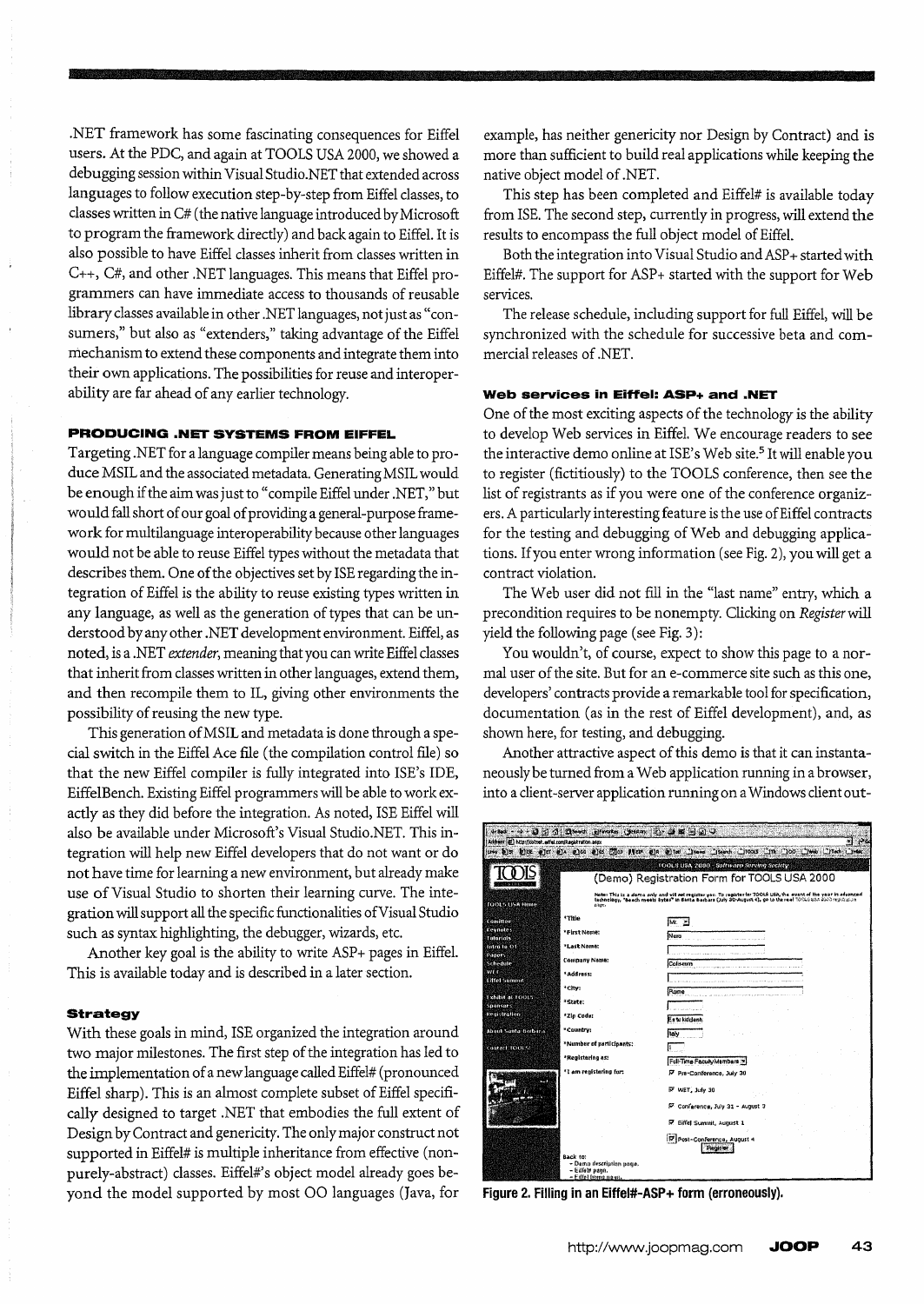.NET framework has some fascinating consequences for Eiffel users. At the PDC, and again at TOOLS USA 2000, we showed a debugging session within Visual Studio.NET that extended across languages to follow execution step-by-step from Eiffel classes, to classes written in C# (the native language introduced by Microsoft to program the framework directly) and back again to Eiffel. It is also possible to have Eifid classes inherit from classes written in C++, C#, and other .NET languages. This means that Eiffel programmers can have immediate access to thousands of reusable library classes available in other .NET languages, not just as "consurners," but also as "extenders," taking advantage of the Eiffel mechanism to extend these components and integrate them into their own applications. The possibilities for reuse and interoperability are far ahead of any earlier technology.

## **PRODUCING .NET SYSTEMS FROM EIFFEL**

Targeting .NET for a language compiler means being able to produce MSIL and the associated metadata. Generating MSIL would be enough if the aim was just to «compile Eiffel under .NET," but would fall short of our goal of providing a general-purpose framework for multilanguage interoperability because other languages would not be able to reuse Eiffel types without the metadata that describes them. One of the objectives set by ISE regarding the integration of Eiffel is the ability to reuse existing types written in any language, as well as the generation of types that can be understood by any other .NET development environment. Eiffel, as noted, is a .NET *extender,* meaning that you can write Eiffel classes that inherit from classes written in other languages, extend them, and then recompile them to IL, giving other environments the possibility of reusing the new type.

This generation ofMSIL and metadata is done through a special switch in the Eiffel Ace file (the compilation control file) so that the new Eiffel compiler is fully integrated into ISE's IDE, EiffelBench. Existing Eiffel programmers will be able to work exactly as they did before the integration. As noted, ISE Eiffel will also be available under Microsoft's Visual Studio.NET. This integration will help new Eiffel developers that do not want or do not have time for learning a new environment, but already make use of Visual Studio to shorten their learning curve. The integration will support all the specific functionalities of Visual Studio such as syntax highlighting, the debugger, wizards, etc.

Another key goal is the ability to write ASP+ pages in Eiffel. This is available today and is described in a later section.

#### **Strategy**

With these goals in mind, ISE organized the integration around two major milestones. The first step of the integration has led to the implementation of a new language called Eiffel# (pronounced Eiffel sharp). This is an almost complete subset of Eiffel specifically designed to target .NET that embodies the full extent of Design by Contract and genericity. The only major construct not supported in Eiffel# is multiple inheritance from effective (nonpurely-abstract) classes. Eiffel#'s object model already goes beyond the model supported by most 00 languages (Java, for

example, has neither genericity nor Design by Contract) and is more than sufficient to build real applications while keeping the native object model of .NET.

This step has been completed and Eiffel# is available today from ISE. The second step, currently in progress, will extend the results to encompass the full object model of Eiffel.

Both the integration into Visual Studio and ASP+ started with Eiffel#. The support for ASP+ started with the support for Web services.

The release schedule, including support for full Eiffel, will be synchronized with the schedule for successive beta and commercial releases of .NET.

#### **Web services in Eiffel: ASP+ and .NET**

One of the most exciting aspects of the technology is the ability to develop Web services in Eiffel. We encourage readers to see the interactive demo online at ISE's Web site.<sup>5</sup> It will enable you to register (fictitiously) to the TOOLS conference, then see the list of registrants as if you were one of the conference organizers. A particularly interesting feature is the use of Eiffel contracts for the testing and debugging of Web and debugging applications. If you enter wrong information (see Fig. 2), you will get a contract violation.

The Web user did not fill in the "last name" entry, which a precondition requires to be nonempty. Clicking on *Register* will yield the following page (see Fig. 3):

You wouldn't, of course, expect to show this page to a normal user of the site. But for an e-commerce site such as this one, developers' contracts provide a remarkable tool for specification, documentation (as in the rest of Eiffel development), and, as shown here, for testing, and debugging.

Another attractive aspect of this demo is that it can instantaneously be turned from a Web application running in a browser, into a client-server application running on a Windows client out-



**Figure 2. Filling in an Eiffel#-ASP+ form (erroneously).**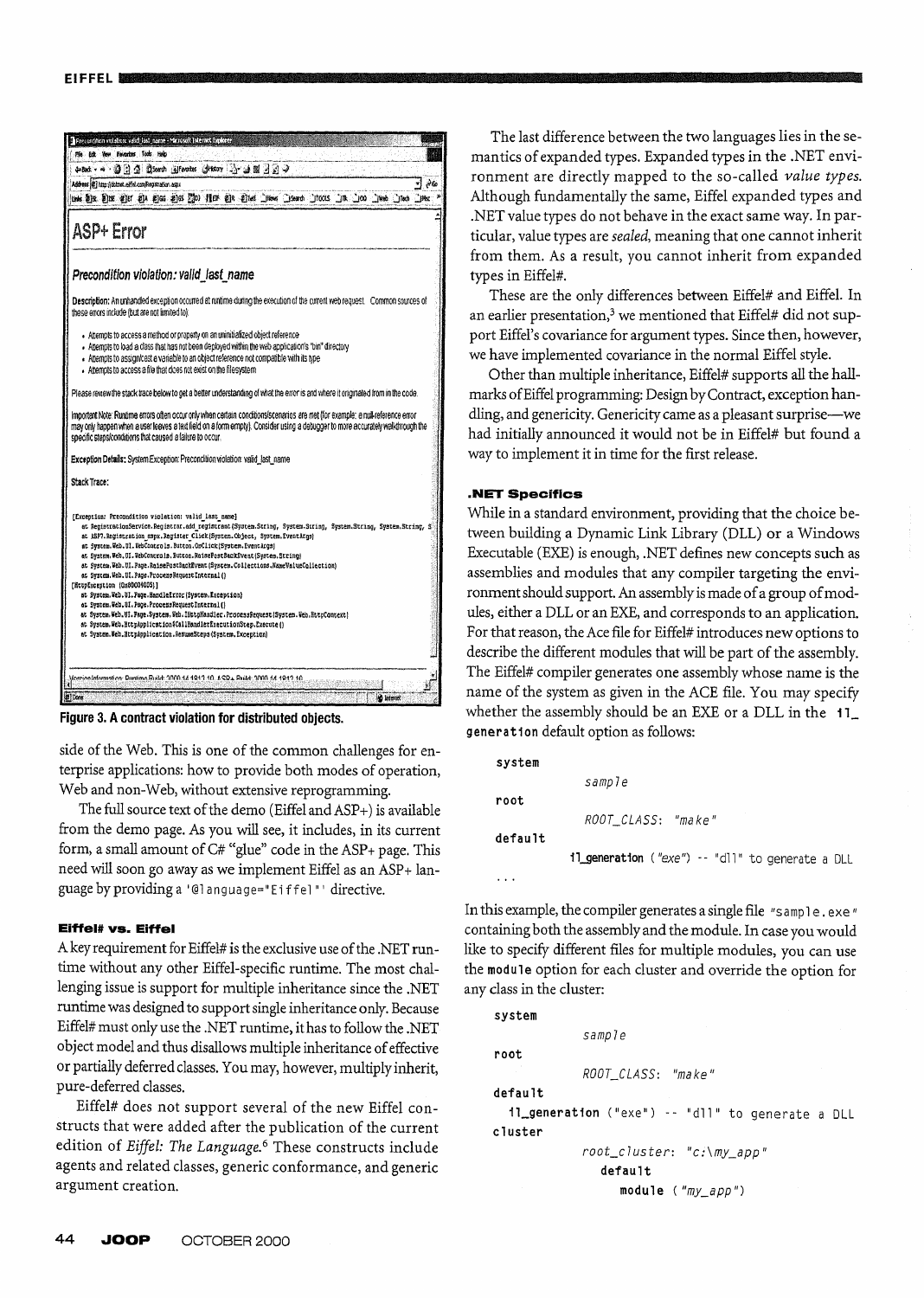

Figure 3. A contract violation for distributed objects.

side of the Web. This is one of the common challenges for enterprise applications: how to provide both modes of operation, Web and non-Web, without extensive reprogramming.

The full source text of the demo (Eiffel and ASP+) is available from the demo page. As you will see, it includes, in its current form, a small amount of C# "glue" code in the ASP+ page. This need will soon go away as we implement Eiffel as an ASP+ language by providing a '@language="Eiffel"' directive.

#### Eiffel# vs. Eiffel

A key requirement for Eiffel# is the exclusive use of the .NET runtime without any other Eiffel-specific runtime. The most challenging issue is support for multiple inheritance since the .NET runtime was designed to support single inheritance only. Because Eiffel# must only use the .NET runtime, it has to follow the .NET object model and thus disallows multiple inheritance of effective or partially deferred classes. You may, however, multiply inherit, pure-deferred classes.

Eiffel# does not support several of the new Eiffel constructs that were added after the publication of the current edition of Eiffel: The Language.<sup>6</sup> These constructs include agents and related classes, generic conformance, and generic argument creation.

The last difference between the two languages lies in the semantics of expanded types. Expanded types in the .NET environment are directly mapped to the so-called value types. Although fundamentally the same, Eiffel expanded types and .NET value types do not behave in the exact same way. In particular, value types are *sealed*, meaning that one cannot inherit from them. As a result, you cannot inherit from expanded types in Eiffel#.

These are the only differences between Eiffel# and Eiffel. In an earlier presentation,<sup>3</sup> we mentioned that Eiffel# did not support Eiffel's covariance for argument types. Since then, however, we have implemented covariance in the normal Eiffel style.

Other than multiple inheritance, Eiffel# supports all the hallmarks of Eiffel programming: Design by Contract, exception handling, and genericity. Genericity came as a pleasant surprise--we had initially announced it would not be in Eiffel# but found a way to implement it in time for the first release.

#### **NET Specifics**

 $\ddotsc$ 

While in a standard environment, providing that the choice between building a Dynamic Link Library (DLL) or a Windows Executable (EXE) is enough, .NET defines new concepts such as assemblies and modules that any compiler targeting the environment should support. An assembly is made of a group of modules, either a DLL or an EXE, and corresponds to an application. For that reason, the Ace file for Eiffel# introduces new options to describe the different modules that will be part of the assembly. The Eiffel# compiler generates one assembly whose name is the name of the system as given in the ACE file. You may specify whether the assembly should be an EXE or a DLL in the 11\_ generation default option as follows:

| system  |                                                  |
|---------|--------------------------------------------------|
|         | sample                                           |
| root    |                                                  |
|         | ROOT CLASS: "make"                               |
| default |                                                  |
|         | il generation ("exe") -- "dll" to generate a DLL |

In this example, the compiler generates a single file "sample.exe" containing both the assembly and the module. In case you would like to specify different files for multiple modules, you can use the module option for each cluster and override the option for any class in the cluster:

```
system
             sample
root
            ROOT_CLASS: "make"
default
  11_generation ("exe") -- "dll" to generate a DLL
cluster
            root_cluster: "c:\my_app"
               default
                  module ('my_app")
```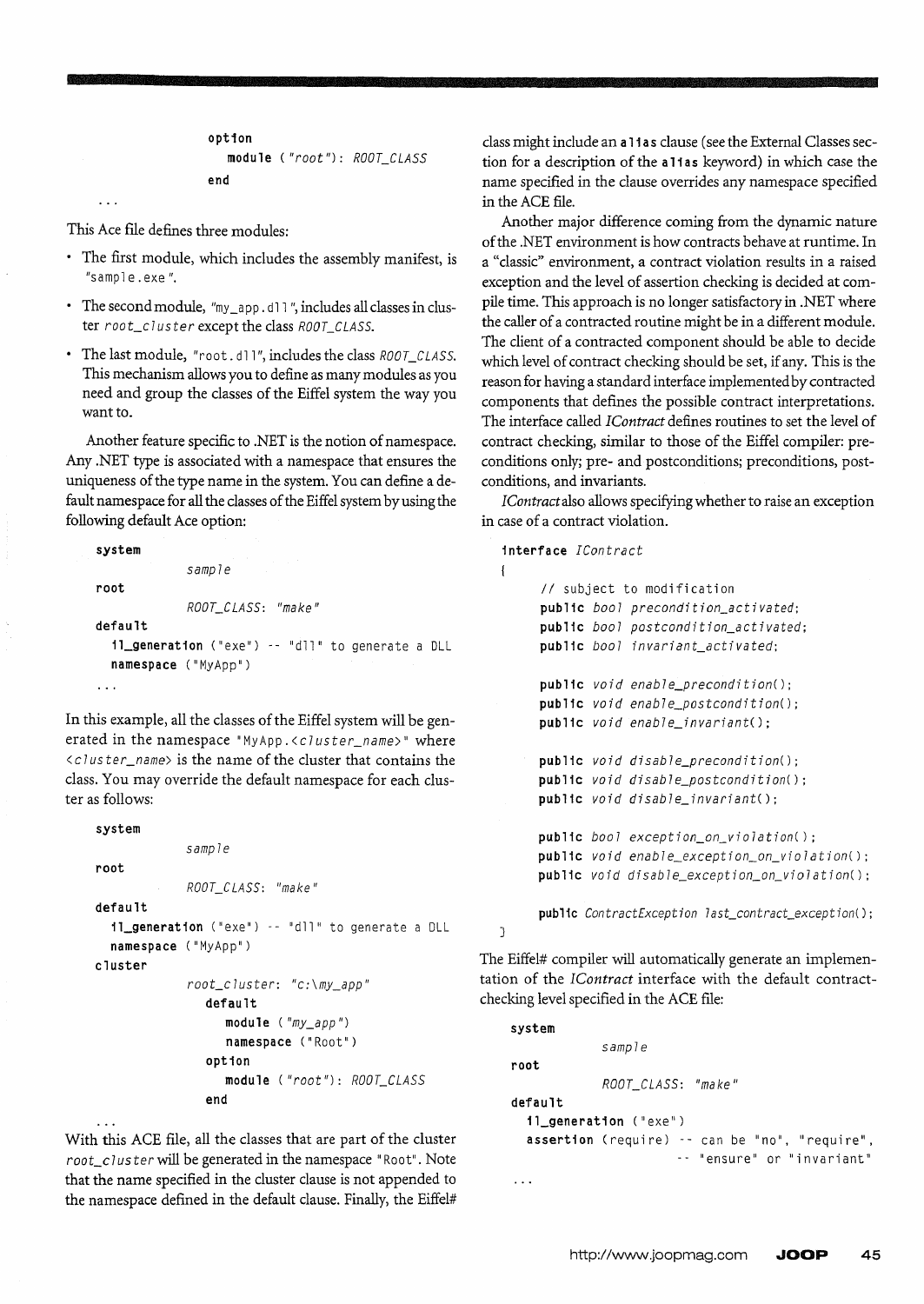```
option 
   module ("root "): ROOT_CLASS 
end
```
This Ace file defines three modules:

- The first module, which includes the assembly manifest, is "sampl e. exe *".*
- The second module, "my\_app.dll", includes all classes in cluster *roo t\_c* 7 *us ter* except the class *ROOT\_CLASS.*
- The last module, "root.dll", includes the class *ROOT\_CLASS*. This mechanism allows you to define as many modules as you need and group the classes of the Eiffel system the way you want to.

Another feature specific to .NET is the notion of namespace. Any .NET type is associated with a namespace that ensures the uniqueness of the type name in the system. You can define a default namespace for all the classes of the Eiffel system by using the following default Ace option:

```
system 
             sample 
root 
             ROOCCLASS: "make 11 
default 
  11_generat1on ("exe") -- "dll" to generate a DLL 
  namespace ("MyApp")
```
In this example, all the classes of the Eiffel system will be generated in the namespace *"MyApp.<cluster\_name>"* where < c 7 *us ter \_name>* is the name of the cluster that contains the class. You may override the default namespace for each cluster as follows:

```
system 
             samp7e 
root 
             ROOT_C LASS: "make II 
default 
  1l_generation ("exe") -- "dll" to generate a DLL 
  namespace ("MyApp") 
cluster 
             root\_cluster: "c: \my_app"
                default 
                   module ('my_app")namespace ("Root")
```
option module *("root"): ROOT\_CLASS*  end

With this ACE file, all the classes that are part of the cluster root\_cluster will be generated in the namespace "Root". Note that the name specified in the cluster clause is not appended to the namespace defined in the default clause. Finally, the Eiffel#

 $\ddotsc$ 

class might include an a 11 a s clause (see the External Classes section for a description of the a 11 as keyword) in which case the name specified in the clause overrides any namespace specified in the ACE file.

Another major difference coming from the dynamic nature of the .NET environment is how contracts behave at runtime. In a "classic" environment, a contract violation results in a raised exception and the level of assertion checking is decided at compile time. This approach is no longer satisfactory in .NET where the caller of a contracted routine might be in a different module. The client of a contracted component should be able to decide which level of contract checking should be set, if any. This is the reason for having a standard interface implemented by contracted components that defines the possible contract interpretations. The interface called *IContract* defines routines to set the level of contract checking, similar to those of the Eiffel compiler: preconditions only; pre- and postconditions; preconditions, postconditions, and invariants.

*IContractalso* allows specifying whether to raise an exception in case of a contract violation.

```
interface [Contract
```
 $\overline{1}$ 

}

```
1/ subject to modification 
public boo7 precondition_activated; 
public bool postcondition_activated; 
public bool invariant_activated;
public void enab7e_precondition(); 
public void enable_postcondition();
public void enab7e_invariant(); 
public void disable_precondition(); 
public void disab7e_postcondition(); 
public void disable_invariant(); 
public bool exception_on_vio7ation(); 
public void enable_exception_on_violation();
public void disab7e_exception_on_vio7ation();
```
public *ContractException last\_contract\_exception*();

The Eiffel# compiler will automatically generate an implementation of the *[Contract* interface with the default contractchecking level specified in the ACE file:

```
system 
             samp7e 
root 
             ROOT_CLASS: "make /I 
default 
  1l_generat1on ("exe") 
  assertion (require) -- can be "no", "require",
                        -- "ensure" or "invariant"
\ddotsc
```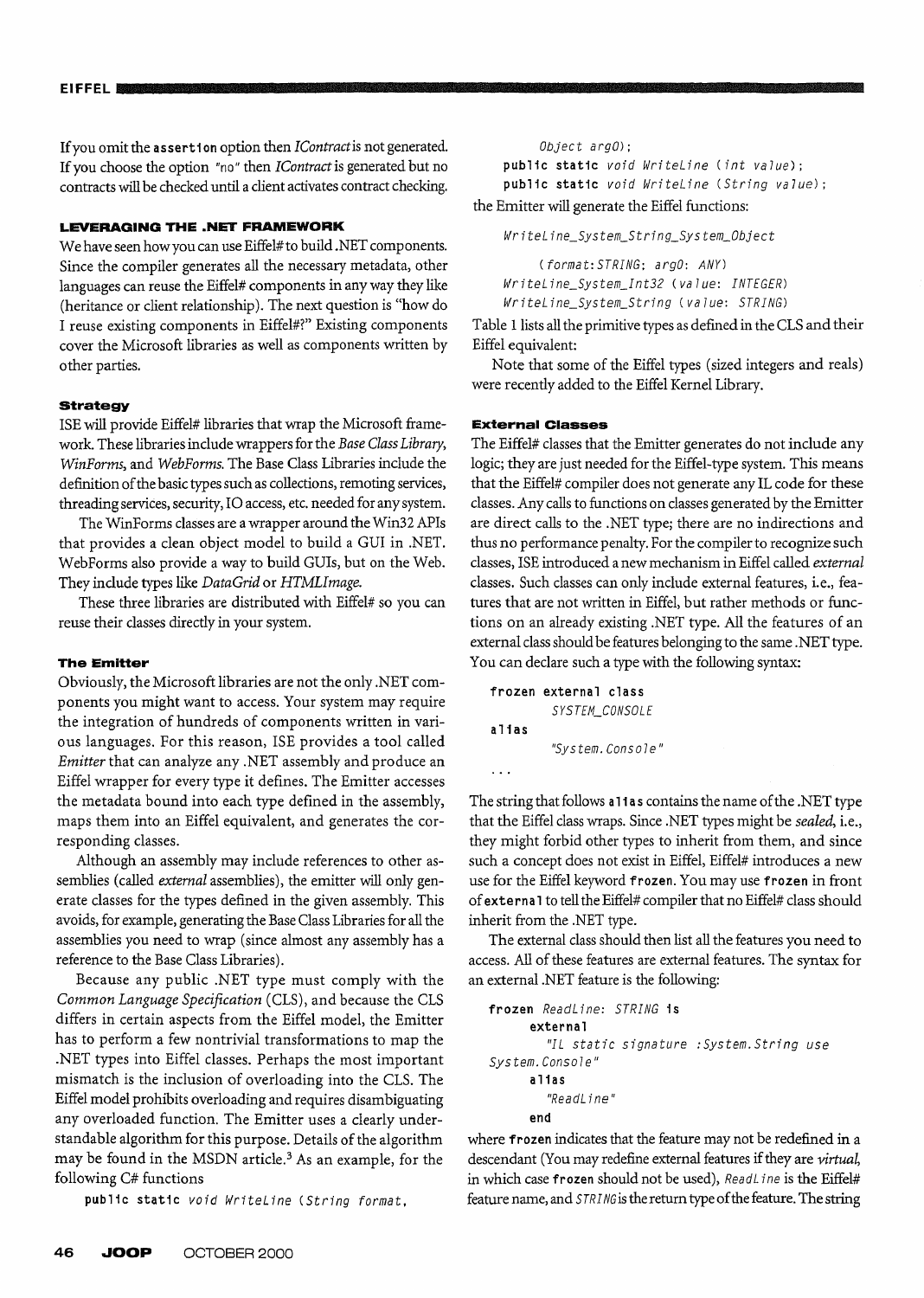If you omit the assertion option then *IContractis* not generated. If you choose the option "no" then *IContractis* generated but no contracts will be checked until a client activates contract checking.

## **LEVERAGING THE .NET FRAMEWORK**

We have seen how you can use Eiffel# to build .NET components. Since the compiler generates all the necessary metadata, other languages can reuse the Eiffel# components in any way they like (heritance or client relationship). The next question is "how do I reuse existing components in Eiffel#?» Existing components cover the Microsoft libraries as well as components written by other parties.

### **strategy**

ISE will provide Eiffel# libraries that wrap the Microsoft framework. These libraries include wrappers for the *Base Class Library, WinForms,* and *WebForms.* The Base Class Libraries include the definition of the basic types such as collections, remoting services, threading services, security, 10 access, etc. needed for any system.

The WinForms classes are a wrapper around the Win32 APIs that provides a clean object model to build a GUI in .NET. WebForms also provide a way to build GUls, but on the Web. They include types like *DataGrid* or *HTMLlmage.* 

These three libraries are distributed with Eiffel# so you can reuse their classes directly in your system.

### **The Emitter**

Obviously, the Microsoft libraries are not the only .NET components you might want to access. Your system may require the integration of hundreds of components written in various languages. For this reason, ISE provides a tool called *Emitter* that can analyze any .NET assembly and produce an Eiffel wrapper for every type it defines. The Emitter accesses the metadata bound into each type defined in the assembly, maps them into an Eiffel equivalent, and generates the corresponding classes.

Although an assembly may include references to other assemblies (called *external* assemblies), the emitter will only generate classes for the types defined in the given assembly. This avoids, for example, generating the Base Class Libraries for all the assemblies you need to wrap (since almost any assembly has a reference to the Base Class Libraries).

Because any public .NET type must comply with the *Common Language Specification* (CLS), and because the CLS differs in certain aspects from the Eiffel model, the Emitter has to perform a few nontrivial transformations to map the .NET types into Eiffel classes. Perhaps the most important mismatch is the inclusion of overloading into the CLS. The Eiffel model prohibits overloading and requires disambiguating any overloaded function. The Emitter uses a clearly understandable algorithm for this purpose. Details of the algorithm may be found in the MSDN article.<sup>3</sup> As an example, for the following C# functions

public static *void WriteLine (String format,* 

public static *void WriteLine* (int value); public static *void WriteLine* (String value);

the Emitter will generate the Eiffel functions:

WriteLine\_System\_String\_System\_Object

*(format: STRING; argO: ANY) WriteLine\_System\_Int32 (va7ue: INTEGER) WriteLine\_System\_String (value: STRING)* 

Table 1 lists all the primitive types as defined in the CLS and their Eiffel equivalent:

Note that some of the Eiffel types (sized integers and reals) were recently added to the Eiffel Kernel Library.

#### **External Classes**

The Eiffel# classes that the Emitter generates do not include any logic; they are just needed for the Eiffel-type system. This means that the Eiffel# compiler does not generate any IL code for these classes. Any calls to functions on classes generated by the Emitter are direct calls to the .NET type; there are no indirections and thus no performance penalty. For the compiler to recognize such classes, ISE introduced a new mechanism in Eiffel called *external*  classes. Such classes can only include external features, i.e., features that are not written in Eiffel, but rather methods or functions on an already existing .NET type. All the features of an external class should be features belonging to the same .NET type. You can declare such a type with the following syntax:

```
frozen external class 
         SYSTEM_CONSOLE 
alias 
         "System. Conso7e" 
\ddots
```
The string that follows all as contains the name of the .NET type that the Eiffel class wraps. Since .NET types might be *sealed,* i.e.) they might forbid other types to inherit from them, and since such a concept does not exist in Eiffel, Eiffel# introduces a new use for the Eiffel keyword frozen. You may use frozen in front of externa 1 to tell the Eiffel# compiler that no Eiffel# class should inherit from the .NET type.

The external class should then list all the features you need to access. All of these features are external features. The syntax for an external .NET feature is the following:

```
frozen ReadLine: STRING is 
      external 
         "IL static signature :System.String use 
System. Console" 
      alias 
         "ReadL i ne" 
      end
```
where frozen indicates that the feature may not be redefined in a descendant (You may redefine external features if they are *virtual,*  in which case frozen should not be used), *ReadL ine* is the Eiffel# feature name, and *STRING* is the return type of the feature. The string